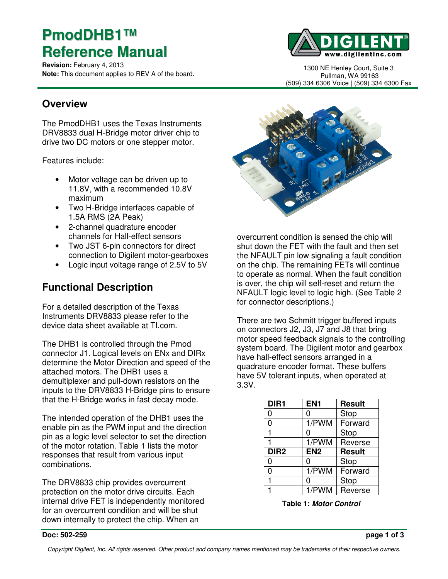# **PmodDHB1™ Reference Manual**

**Revision:** February 4, 2013 **Note:** This document applies to REV A of the board.



1300 NE Henley Court, Suite 3 Pullman, WA 99163 (509) 334 6306 Voice | (509) 334 6300 Fax

### **Overview**

The PmodDHB1 uses the Texas Instruments DRV8833 dual H-Bridge motor driver chip to drive two DC motors or one stepper motor.

Features include:

- Motor voltage can be driven up to 11.8V, with a recommended 10.8V maximum
- Two H-Bridge interfaces capable of 1.5A RMS (2A Peak)
- 2-channel quadrature encoder channels for Hall-effect sensors
- Two JST 6-pin connectors for direct connection to Digilent motor-gearboxes
- Logic input voltage range of 2.5V to 5V

# **Functional Description**

For a detailed description of the Texas Instruments DRV8833 please refer to the device data sheet available at TI.com.

The DHB1 is controlled through the Pmod connector J1. Logical levels on ENx and DIRx determine the Motor Direction and speed of the attached motors. The DHB1 uses a demultiplexer and pull-down resistors on the inputs to the DRV8833 H-Bridge pins to ensure that the H-Bridge works in fast decay mode.

The intended operation of the DHB1 uses the enable pin as the PWM input and the direction pin as a logic level selector to set the direction of the motor rotation. Table 1 lists the motor responses that result from various input combinations.

The DRV8833 chip provides overcurrent protection on the motor drive circuits. Each internal drive FET is independently monitored for an overcurrent condition and will be shut down internally to protect the chip. When an



overcurrent condition is sensed the chip will shut down the FET with the fault and then set the NFAULT pin low signaling a fault condition on the chip. The remaining FETs will continue to operate as normal. When the fault condition is over, the chip will self-reset and return the NFAULT logic level to logic high. (See Table 2 for connector descriptions.)

There are two Schmitt trigger buffered inputs on connectors J2, J3, J7 and J8 that bring motor speed feedback signals to the controlling system board. The Digilent motor and gearbox have hall-effect sensors arranged in a quadrature encoder format. These buffers have 5V tolerant inputs, when operated at 3.3V.

| DIR <sub>1</sub> | EN <sub>1</sub> | <b>Result</b> |
|------------------|-----------------|---------------|
| ი                | ი               | Stop          |
| 0                | 1/PWM           | Forward       |
|                  | 0               | Stop          |
|                  | 1/PWM           | Reverse       |
| DIR <sub>2</sub> | EN <sub>2</sub> | <b>Result</b> |
| 0                | 0               | Stop          |
| 0                | 1/PWM           | Forward       |
|                  | 0               | Stop          |
|                  | 1/PWM           | Reverse       |

**Table 1: Motor Control**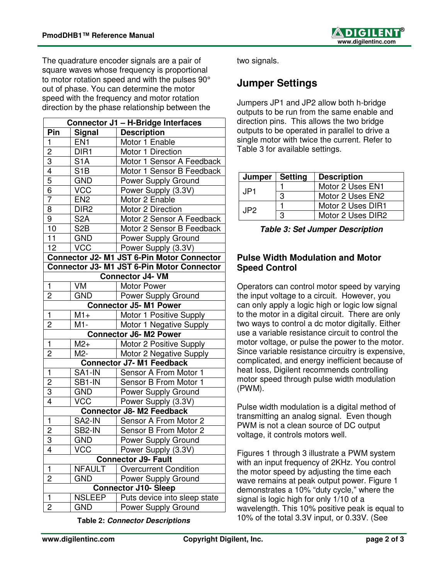The quadrature encoder signals are a pair of square waves whose frequency is proportional to motor rotation speed and with the pulses 90° out of phase. You can determine the motor speed with the frequency and motor rotation direction by the phase relationship between the

| <b>Connector J1 - H-Bridge Interfaces</b>  |                  |                                            |  |
|--------------------------------------------|------------------|--------------------------------------------|--|
| Pin                                        | <b>Signal</b>    | <b>Description</b>                         |  |
| $\mathbf{1}$                               | EN <sub>1</sub>  | Motor 1 Enable                             |  |
| $\overline{\mathbf{c}}$                    | DIR <sub>1</sub> | Motor 1 Direction                          |  |
| $\overline{3}$                             | S <sub>1</sub> A | Motor 1 Sensor A Feedback                  |  |
| $\overline{4}$                             | S <sub>1</sub> B | Motor 1 Sensor B Feedback                  |  |
| 5                                          | <b>GND</b>       | Power Supply Ground                        |  |
| $\overline{6}$                             | <b>VCC</b>       | Power Supply (3.3V)                        |  |
| $\overline{7}$                             | EN <sub>2</sub>  | Motor 2 Enable                             |  |
| 8                                          | DIR <sub>2</sub> | Motor 2 Direction                          |  |
| $\overline{9}$                             | S <sub>2</sub> A | Motor 2 Sensor A Feedback                  |  |
| $\overline{10}$                            | S <sub>2</sub> B | Motor 2 Sensor B Feedback                  |  |
| 11                                         | <b>GND</b>       | Power Supply Ground                        |  |
| 12                                         | <b>VCC</b>       | Power Supply (3.3V)                        |  |
| Connector J2- M1 JST 6-Pin Motor Connector |                  |                                            |  |
|                                            |                  | Connector J3- M1 JST 6-Pin Motor Connector |  |
|                                            |                  | <b>Connector J4- VM</b>                    |  |
| $\mathbf{1}$                               | VM               | Motor Power                                |  |
| 2                                          | <b>GND</b>       | Power Supply Ground                        |  |
|                                            |                  | <b>Connector J5-M1 Power</b>               |  |
| $\mathbf{1}$                               | $M1+$            | Motor 1 Positive Supply                    |  |
| $\overline{2}$                             | M1-              | Motor 1 Negative Supply                    |  |
|                                            |                  | <b>Connector J6-M2 Power</b>               |  |
| $\mathbf{1}$                               | $M2+$            | Motor 2 Positive Supply                    |  |
| $\overline{c}$                             | M2-              | Motor 2 Negative Supply                    |  |
|                                            |                  | <b>Connector J7-M1 Feedback</b>            |  |
| $\mathbf{1}$                               | SA1-IN           | Sensor A From Motor 1                      |  |
| $\overline{2}$                             | SB1-IN           | Sensor B From Motor 1                      |  |
| $\overline{3}$                             | <b>GND</b>       | Power Supply Ground                        |  |
| $\overline{4}$                             | <b>VCC</b>       | Power Supply (3.3V)                        |  |
|                                            |                  | <b>Connector J8-M2 Feedback</b>            |  |
| $\mathbf{1}$                               | SA2-IN           | Sensor A From Motor 2                      |  |
| $\overline{2}$                             | SB2-IN           | Sensor B From Motor 2                      |  |
| $\overline{3}$                             | <b>GND</b>       | Power Supply Ground                        |  |
| 4                                          | VCC              | Power Supply (3.3V)                        |  |
| <b>Connector J9- Fault</b>                 |                  |                                            |  |
| 1                                          | <b>NFAULT</b>    | <b>Overcurrent Condition</b>               |  |
| 2                                          | GND              | Power Supply Ground                        |  |
| <b>Connector J10- Sleep</b>                |                  |                                            |  |
| 1                                          | <b>NSLEEP</b>    | Puts device into sleep state               |  |
| $\overline{2}$                             | <b>GND</b>       | Power Supply Ground                        |  |

**Table 2: Connector Descriptions** 

two signals.

## **Jumper Settings**

Jumpers JP1 and JP2 allow both h-bridge outputs to be run from the same enable and direction pins. This allows the two bridge outputs to be operated in parallel to drive a single motor with twice the current. Refer to Table 3 for available settings.

| Jumper | <b>Setting</b> | <b>Description</b> |  |
|--------|----------------|--------------------|--|
| JP1.   |                | Motor 2 Uses EN1   |  |
|        | 3              | Motor 2 Uses EN2   |  |
| JP2.   |                | Motor 2 Uses DIR1  |  |
|        | з              | Motor 2 Uses DIR2  |  |

#### **Pulse Width Modulation and Motor Speed Control**

Operators can control motor speed by varying the input voltage to a circuit. However, you can only apply a logic high or logic low signal to the motor in a digital circuit. There are only two ways to control a dc motor digitally. Either use a variable resistance circuit to control the motor voltage, or pulse the power to the motor. Since variable resistance circuitry is expensive, complicated, and energy inefficient because of heat loss, Digilent recommends controlling motor speed through pulse width modulation (PWM).

Pulse width modulation is a digital method of transmitting an analog signal. Even though PWM is not a clean source of DC output voltage, it controls motors well.

Figures 1 through 3 illustrate a PWM system with an input frequency of 2KHz. You control the motor speed by adjusting the time each wave remains at peak output power. Figure 1 demonstrates a 10% "duty cycle," where the signal is logic high for only 1/10 of a wavelength. This 10% positive peak is equal to 10% of the total 3.3V input, or 0.33V. (See